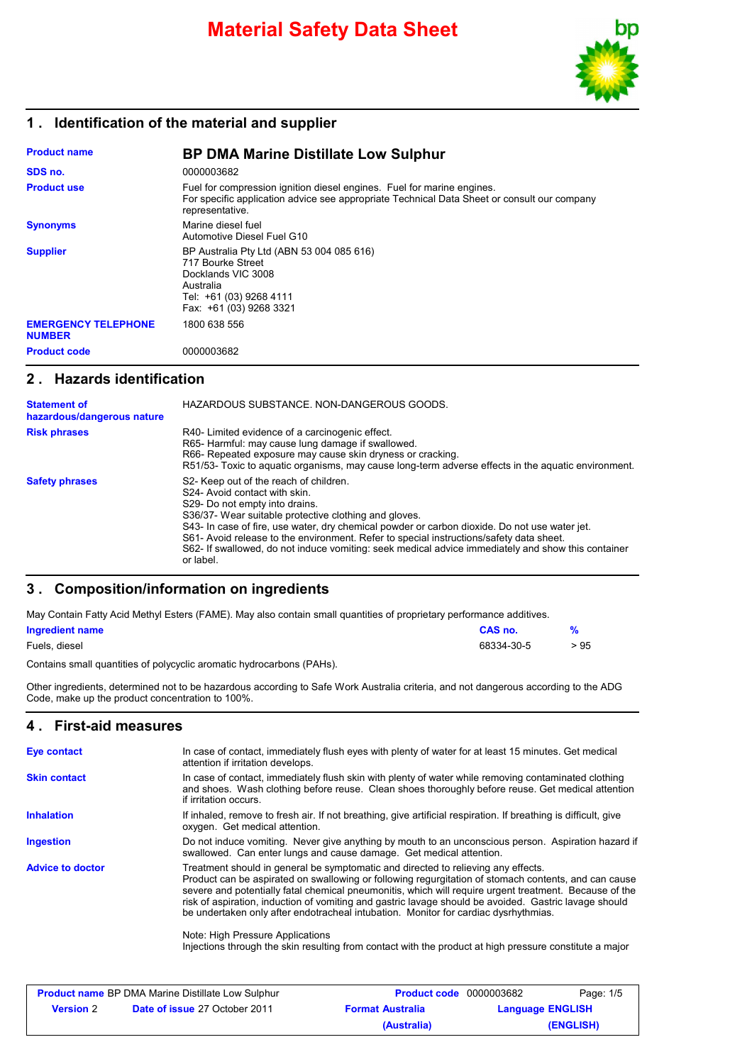

#### **1 . Identification of the material and supplier**

| <b>Product name</b>                         | <b>BP DMA Marine Distillate Low Sulphur</b>                                                                                                                                              |
|---------------------------------------------|------------------------------------------------------------------------------------------------------------------------------------------------------------------------------------------|
| SDS no.                                     | 0000003682                                                                                                                                                                               |
| <b>Product use</b>                          | Fuel for compression ignition diesel engines. Fuel for marine engines.<br>For specific application advice see appropriate Technical Data Sheet or consult our company<br>representative. |
| <b>Synonyms</b>                             | Marine diesel fuel<br>Automotive Diesel Fuel G10                                                                                                                                         |
| <b>Supplier</b>                             | BP Australia Pty Ltd (ABN 53 004 085 616)<br>717 Bourke Street<br>Docklands VIC 3008<br>Australia<br>Tel: +61 (03) 9268 4111<br>Fax: +61 (03) 9268 3321                                  |
| <b>EMERGENCY TELEPHONE</b><br><b>NUMBER</b> | 1800 638 556                                                                                                                                                                             |
| <b>Product code</b>                         | 0000003682                                                                                                                                                                               |

#### **2 . Hazards identification**

| <b>Statement of</b><br>hazardous/dangerous nature | HAZARDOUS SUBSTANCE, NON-DANGEROUS GOODS.                                                                                                                                                                                                                                                                                                                                                                                                                                         |
|---------------------------------------------------|-----------------------------------------------------------------------------------------------------------------------------------------------------------------------------------------------------------------------------------------------------------------------------------------------------------------------------------------------------------------------------------------------------------------------------------------------------------------------------------|
| <b>Risk phrases</b>                               | R40- Limited evidence of a carcinogenic effect.<br>R65- Harmful: may cause lung damage if swallowed.<br>R66- Repeated exposure may cause skin dryness or cracking.<br>R51/53- Toxic to aquatic organisms, may cause long-term adverse effects in the aquatic environment.                                                                                                                                                                                                         |
| <b>Safety phrases</b>                             | S2- Keep out of the reach of children.<br>S24- Avoid contact with skin.<br>S29- Do not empty into drains.<br>S36/37- Wear suitable protective clothing and gloves.<br>S43- In case of fire, use water, dry chemical powder or carbon dioxide. Do not use water jet.<br>S61- Avoid release to the environment. Refer to special instructions/safety data sheet.<br>S62- If swallowed, do not induce vomiting: seek medical advice immediately and show this container<br>or label. |

### **3 . Composition/information on ingredients**

May Contain Fatty Acid Methyl Esters (FAME). May also contain small quantities of proprietary performance additives.

| Ingredient name | CAS no.    | $\frac{9}{6}$ |
|-----------------|------------|---------------|
| Fuels, diesel   | 68334-30-5 | > 95          |

Contains small quantities of polycyclic aromatic hydrocarbons (PAHs).

Other ingredients, determined not to be hazardous according to Safe Work Australia criteria, and not dangerous according to the ADG Code, make up the product concentration to 100%.

#### **4 . First-aid measures**

| In case of contact, immediately flush eyes with plenty of water for at least 15 minutes. Get medical<br>attention if irritation develops.                                                                                                                                                                                                                                                                                                                                                                                                                                                                                                          |
|----------------------------------------------------------------------------------------------------------------------------------------------------------------------------------------------------------------------------------------------------------------------------------------------------------------------------------------------------------------------------------------------------------------------------------------------------------------------------------------------------------------------------------------------------------------------------------------------------------------------------------------------------|
| In case of contact, immediately flush skin with plenty of water while removing contaminated clothing<br>and shoes. Wash clothing before reuse. Clean shoes thoroughly before reuse. Get medical attention<br>if irritation occurs.                                                                                                                                                                                                                                                                                                                                                                                                                 |
| If inhaled, remove to fresh air. If not breathing, give artificial respiration. If breathing is difficult, give<br>oxygen. Get medical attention.                                                                                                                                                                                                                                                                                                                                                                                                                                                                                                  |
| Do not induce vomiting. Never give anything by mouth to an unconscious person. Aspiration hazard if<br>swallowed. Can enter lungs and cause damage. Get medical attention.                                                                                                                                                                                                                                                                                                                                                                                                                                                                         |
| Treatment should in general be symptomatic and directed to relieving any effects.<br>Product can be aspirated on swallowing or following regurgitation of stomach contents, and can cause<br>severe and potentially fatal chemical pneumonitis, which will require urgent treatment. Because of the<br>risk of aspiration, induction of vomiting and gastric lavage should be avoided. Gastric lavage should<br>be undertaken only after endotracheal intubation. Monitor for cardiac dysrhythmias.<br>Note: High Pressure Applications<br>Injections through the skin resulting from contact with the product at high pressure constitute a major |
|                                                                                                                                                                                                                                                                                                                                                                                                                                                                                                                                                                                                                                                    |

| <b>Product name BP DMA Marine Distillate Low Sulphur</b> |                                      | <b>Product code</b> 0000003682 | Page: 1/5               |
|----------------------------------------------------------|--------------------------------------|--------------------------------|-------------------------|
| <b>Version</b> 2                                         | <b>Date of issue 27 October 2011</b> | <b>Format Australia</b>        | <b>Language ENGLISH</b> |
|                                                          |                                      | (Australia)                    | (ENGLISH)               |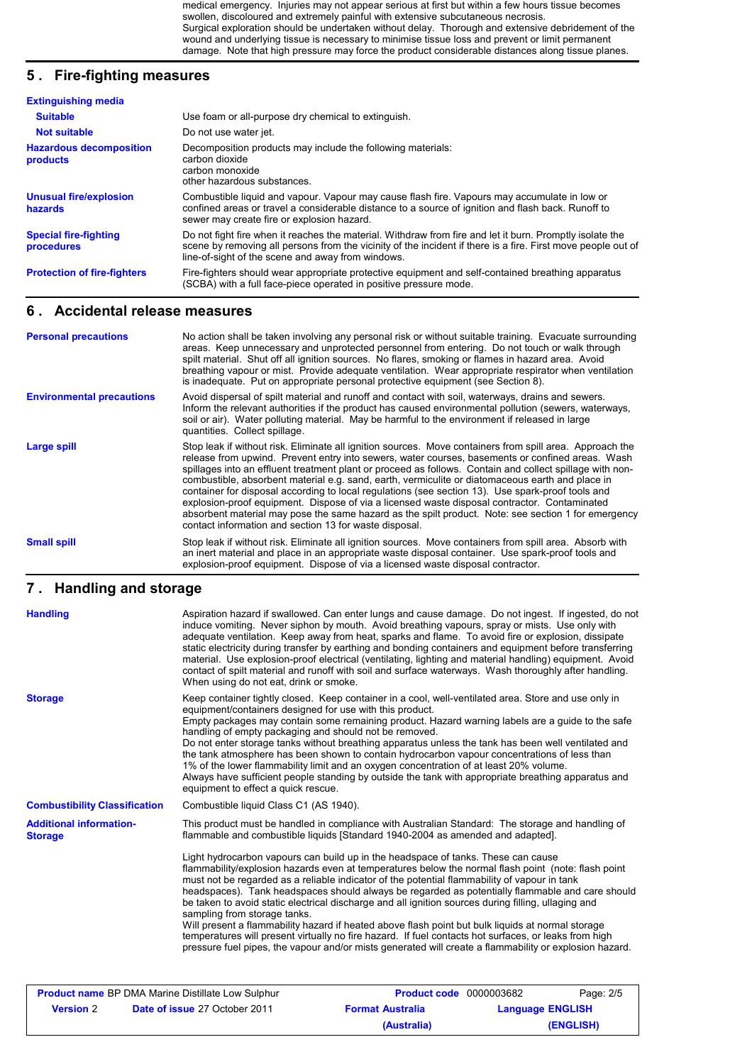medical emergency. Injuries may not appear serious at first but within a few hours tissue becomes swollen, discoloured and extremely painful with extensive subcutaneous necrosis. Surgical exploration should be undertaken without delay. Thorough and extensive debridement of the wound and underlying tissue is necessary to minimise tissue loss and prevent or limit permanent damage. Note that high pressure may force the product considerable distances along tissue planes.

#### **5 . Fire-fighting measures**

| <b>Extinguishing media</b>                 |                                                                                                                                                                                                                                                                               |
|--------------------------------------------|-------------------------------------------------------------------------------------------------------------------------------------------------------------------------------------------------------------------------------------------------------------------------------|
| <b>Suitable</b>                            | Use foam or all-purpose dry chemical to extinguish.                                                                                                                                                                                                                           |
| <b>Not suitable</b>                        | Do not use water jet.                                                                                                                                                                                                                                                         |
| <b>Hazardous decomposition</b><br>products | Decomposition products may include the following materials:<br>carbon dioxide<br>carbon monoxide<br>other hazardous substances.                                                                                                                                               |
| <b>Unusual fire/explosion</b><br>hazards   | Combustible liquid and vapour. Vapour may cause flash fire. Vapours may accumulate in low or<br>confined areas or travel a considerable distance to a source of ignition and flash back. Runoff to<br>sewer may create fire or explosion hazard.                              |
| <b>Special fire-fighting</b><br>procedures | Do not fight fire when it reaches the material. Withdraw from fire and let it burn. Promptly isolate the<br>scene by removing all persons from the vicinity of the incident if there is a fire. First move people out of<br>line-of-sight of the scene and away from windows. |
| <b>Protection of fire-fighters</b>         | Fire-fighters should wear appropriate protective equipment and self-contained breathing apparatus<br>(SCBA) with a full face-piece operated in positive pressure mode.                                                                                                        |

### **6 . Accidental release measures**

| <b>Personal precautions</b>      | No action shall be taken involving any personal risk or without suitable training. Evacuate surrounding<br>areas. Keep unnecessary and unprotected personnel from entering. Do not touch or walk through<br>spilt material. Shut off all ignition sources. No flares, smoking or flames in hazard area. Avoid<br>breathing vapour or mist. Provide adequate ventilation. Wear appropriate respirator when ventilation<br>is inadequate. Put on appropriate personal protective equipment (see Section 8).                                                                                                                                                                                                                                                                                          |
|----------------------------------|----------------------------------------------------------------------------------------------------------------------------------------------------------------------------------------------------------------------------------------------------------------------------------------------------------------------------------------------------------------------------------------------------------------------------------------------------------------------------------------------------------------------------------------------------------------------------------------------------------------------------------------------------------------------------------------------------------------------------------------------------------------------------------------------------|
| <b>Environmental precautions</b> | Avoid dispersal of spilt material and runoff and contact with soil, waterways, drains and sewers.<br>Inform the relevant authorities if the product has caused environmental pollution (sewers, waterways,<br>soil or air). Water polluting material. May be harmful to the environment if released in large<br>quantities. Collect spillage.                                                                                                                                                                                                                                                                                                                                                                                                                                                      |
| Large spill                      | Stop leak if without risk. Eliminate all ignition sources. Move containers from spill area. Approach the<br>release from upwind. Prevent entry into sewers, water courses, basements or confined areas. Wash<br>spillages into an effluent treatment plant or proceed as follows. Contain and collect spillage with non-<br>combustible, absorbent material e.g. sand, earth, vermiculite or diatomaceous earth and place in<br>container for disposal according to local regulations (see section 13). Use spark-proof tools and<br>explosion-proof equipment. Dispose of via a licensed waste disposal contractor. Contaminated<br>absorbent material may pose the same hazard as the spilt product. Note: see section 1 for emergency<br>contact information and section 13 for waste disposal. |
| <b>Small spill</b>               | Stop leak if without risk. Eliminate all ignition sources. Move containers from spill area. Absorb with<br>an inert material and place in an appropriate waste disposal container. Use spark-proof tools and<br>explosion-proof equipment. Dispose of via a licensed waste disposal contractor.                                                                                                                                                                                                                                                                                                                                                                                                                                                                                                    |

### **Handling and storage 7 .**

| <b>Handling</b>                                          | When using do not eat, drink or smoke.                                                                                                                    | Aspiration hazard if swallowed. Can enter lungs and cause damage. Do not ingest. If ingested, do not<br>induce vomiting. Never siphon by mouth. Avoid breathing vapours, spray or mists. Use only with<br>adequate ventilation. Keep away from heat, sparks and flame. To avoid fire or explosion, dissipate<br>static electricity during transfer by earthing and bonding containers and equipment before transferring<br>material. Use explosion-proof electrical (ventilating, lighting and material handling) equipment. Avoid<br>contact of spilt material and runoff with soil and surface waterways. Wash thoroughly after handling.                                                                                                                                                                                |                         |           |
|----------------------------------------------------------|-----------------------------------------------------------------------------------------------------------------------------------------------------------|----------------------------------------------------------------------------------------------------------------------------------------------------------------------------------------------------------------------------------------------------------------------------------------------------------------------------------------------------------------------------------------------------------------------------------------------------------------------------------------------------------------------------------------------------------------------------------------------------------------------------------------------------------------------------------------------------------------------------------------------------------------------------------------------------------------------------|-------------------------|-----------|
| <b>Storage</b>                                           | equipment/containers designed for use with this product.<br>handling of empty packaging and should not be removed.<br>equipment to effect a quick rescue. | Keep container tightly closed. Keep container in a cool, well-ventilated area. Store and use only in<br>Empty packages may contain some remaining product. Hazard warning labels are a guide to the safe<br>Do not enter storage tanks without breathing apparatus unless the tank has been well ventilated and<br>the tank atmosphere has been shown to contain hydrocarbon vapour concentrations of less than<br>1% of the lower flammability limit and an oxygen concentration of at least 20% volume.<br>Always have sufficient people standing by outside the tank with appropriate breathing apparatus and                                                                                                                                                                                                           |                         |           |
| <b>Combustibility Classification</b>                     | Combustible liquid Class C1 (AS 1940).                                                                                                                    |                                                                                                                                                                                                                                                                                                                                                                                                                                                                                                                                                                                                                                                                                                                                                                                                                            |                         |           |
| <b>Additional information-</b><br><b>Storage</b>         |                                                                                                                                                           | This product must be handled in compliance with Australian Standard: The storage and handling of<br>flammable and combustible liquids [Standard 1940-2004 as amended and adapted].                                                                                                                                                                                                                                                                                                                                                                                                                                                                                                                                                                                                                                         |                         |           |
|                                                          | sampling from storage tanks.                                                                                                                              | Light hydrocarbon vapours can build up in the headspace of tanks. These can cause<br>flammability/explosion hazards even at temperatures below the normal flash point (note: flash point<br>must not be regarded as a reliable indicator of the potential flammability of vapour in tank<br>headspaces). Tank headspaces should always be regarded as potentially flammable and care should<br>be taken to avoid static electrical discharge and all ignition sources during filling, ullaging and<br>Will present a flammability hazard if heated above flash point but bulk liquids at normal storage<br>temperatures will present virtually no fire hazard. If fuel contacts hot surfaces, or leaks from high<br>pressure fuel pipes, the vapour and/or mists generated will create a flammability or explosion hazard. |                         |           |
| <b>Product name BP DMA Marine Distillate Low Sulphur</b> |                                                                                                                                                           | <b>Product code</b> 0000003682                                                                                                                                                                                                                                                                                                                                                                                                                                                                                                                                                                                                                                                                                                                                                                                             |                         | Page: 2/5 |
| <b>Version 2</b>                                         | Date of issue 27 October 2011                                                                                                                             | <b>Format Australia</b>                                                                                                                                                                                                                                                                                                                                                                                                                                                                                                                                                                                                                                                                                                                                                                                                    | <b>Language ENGLISH</b> |           |

**(Australia) (ENGLISH)**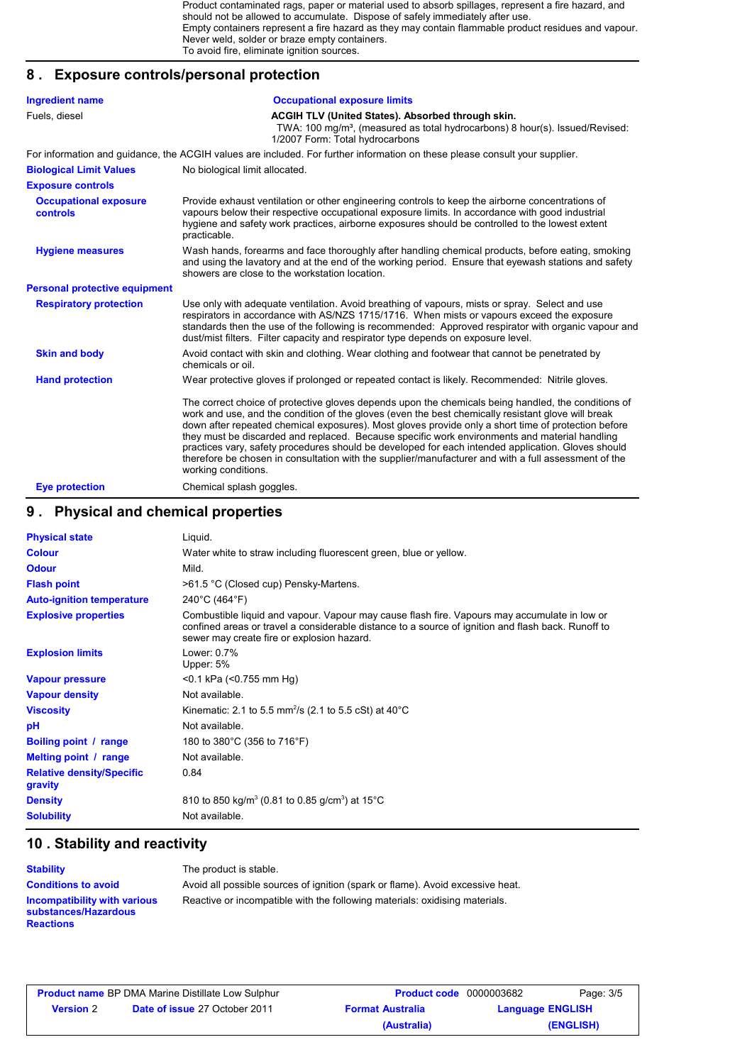Product contaminated rags, paper or material used to absorb spillages, represent a fire hazard, and should not be allowed to accumulate. Dispose of safely immediately after use. Empty containers represent a fire hazard as they may contain flammable product residues and vapour. Never weld, solder or braze empty containers. To avoid fire, eliminate ignition sources.

# **8 . Exposure controls/personal protection**

| <b>Ingredient name</b>                          | <b>Occupational exposure limits</b>                                                                                                                                                                                                                                                                                                                                                                                                                                                                                                                                                                                                                    |
|-------------------------------------------------|--------------------------------------------------------------------------------------------------------------------------------------------------------------------------------------------------------------------------------------------------------------------------------------------------------------------------------------------------------------------------------------------------------------------------------------------------------------------------------------------------------------------------------------------------------------------------------------------------------------------------------------------------------|
| Fuels, diesel                                   | <b>ACGIH TLV (United States). Absorbed through skin.</b><br>TWA: 100 mg/m <sup>3</sup> , (measured as total hydrocarbons) 8 hour(s). Issued/Revised:<br>1/2007 Form: Total hydrocarbons                                                                                                                                                                                                                                                                                                                                                                                                                                                                |
|                                                 | For information and guidance, the ACGIH values are included. For further information on these please consult your supplier.                                                                                                                                                                                                                                                                                                                                                                                                                                                                                                                            |
| <b>Biological Limit Values</b>                  | No biological limit allocated.                                                                                                                                                                                                                                                                                                                                                                                                                                                                                                                                                                                                                         |
| <b>Exposure controls</b>                        |                                                                                                                                                                                                                                                                                                                                                                                                                                                                                                                                                                                                                                                        |
| <b>Occupational exposure</b><br><b>controls</b> | Provide exhaust ventilation or other engineering controls to keep the airborne concentrations of<br>vapours below their respective occupational exposure limits. In accordance with good industrial<br>hygiene and safety work practices, airborne exposures should be controlled to the lowest extent<br>practicable.                                                                                                                                                                                                                                                                                                                                 |
| <b>Hygiene measures</b>                         | Wash hands, forearms and face thoroughly after handling chemical products, before eating, smoking<br>and using the lavatory and at the end of the working period. Ensure that eyewash stations and safety<br>showers are close to the workstation location.                                                                                                                                                                                                                                                                                                                                                                                            |
| <b>Personal protective equipment</b>            |                                                                                                                                                                                                                                                                                                                                                                                                                                                                                                                                                                                                                                                        |
| <b>Respiratory protection</b>                   | Use only with adequate ventilation. Avoid breathing of vapours, mists or spray. Select and use<br>respirators in accordance with AS/NZS 1715/1716. When mists or vapours exceed the exposure<br>standards then the use of the following is recommended: Approved respirator with organic vapour and<br>dust/mist filters. Filter capacity and respirator type depends on exposure level.                                                                                                                                                                                                                                                               |
| <b>Skin and body</b>                            | Avoid contact with skin and clothing. Wear clothing and footwear that cannot be penetrated by<br>chemicals or oil.                                                                                                                                                                                                                                                                                                                                                                                                                                                                                                                                     |
| <b>Hand protection</b>                          | Wear protective gloves if prolonged or repeated contact is likely. Recommended: Nitrile gloves.                                                                                                                                                                                                                                                                                                                                                                                                                                                                                                                                                        |
|                                                 | The correct choice of protective gloves depends upon the chemicals being handled, the conditions of<br>work and use, and the condition of the gloves (even the best chemically resistant glove will break<br>down after repeated chemical exposures). Most gloves provide only a short time of protection before<br>they must be discarded and replaced. Because specific work environments and material handling<br>practices vary, safety procedures should be developed for each intended application. Gloves should<br>therefore be chosen in consultation with the supplier/manufacturer and with a full assessment of the<br>working conditions. |
| <b>Eye protection</b>                           | Chemical splash goggles.                                                                                                                                                                                                                                                                                                                                                                                                                                                                                                                                                                                                                               |

### **9 . Physical and chemical properties**

| <b>Physical state</b>                       | Liquid.                                                                                                                                                                                                                                          |
|---------------------------------------------|--------------------------------------------------------------------------------------------------------------------------------------------------------------------------------------------------------------------------------------------------|
| <b>Colour</b>                               | Water white to straw including fluorescent green, blue or yellow.                                                                                                                                                                                |
| <b>Odour</b>                                | Mild.                                                                                                                                                                                                                                            |
| <b>Flash point</b>                          | >61.5 °C (Closed cup) Pensky-Martens.                                                                                                                                                                                                            |
| <b>Auto-ignition temperature</b>            | 240°C (464°F)                                                                                                                                                                                                                                    |
| <b>Explosive properties</b>                 | Combustible liquid and vapour. Vapour may cause flash fire. Vapours may accumulate in low or<br>confined areas or travel a considerable distance to a source of ignition and flash back. Runoff to<br>sewer may create fire or explosion hazard. |
| <b>Explosion limits</b>                     | Lower: 0.7%<br>Upper: 5%                                                                                                                                                                                                                         |
| <b>Vapour pressure</b>                      | $<$ 0.1 kPa ( $<$ 0.755 mm Hg)                                                                                                                                                                                                                   |
| <b>Vapour density</b>                       | Not available.                                                                                                                                                                                                                                   |
| <b>Viscosity</b>                            | Kinematic: 2.1 to 5.5 mm <sup>2</sup> /s (2.1 to 5.5 cSt) at 40°C                                                                                                                                                                                |
| рH                                          | Not available.                                                                                                                                                                                                                                   |
| Boiling point / range                       | 180 to 380°C (356 to 716°F)                                                                                                                                                                                                                      |
| Melting point / range                       | Not available.                                                                                                                                                                                                                                   |
| <b>Relative density/Specific</b><br>gravity | 0.84                                                                                                                                                                                                                                             |
| <b>Density</b>                              | 810 to 850 kg/m <sup>3</sup> (0.81 to 0.85 g/cm <sup>3</sup> ) at 15 <sup>°</sup> C                                                                                                                                                              |
| <b>Solubility</b>                           | Not available.                                                                                                                                                                                                                                   |

### **10 . Stability and reactivity**

| Stability                           |  |
|-------------------------------------|--|
| <b>Conditions to avoid</b>          |  |
| <b>Incompatibility with various</b> |  |
| substances/Hazardous                |  |
| <b>Reactions</b>                    |  |

The product is stable. Avoid all possible sources of ignition (spark or flame). Avoid excessive heat. **Incompatibility with various** Reactive or incompatible with the following materials: oxidising materials.

| <b>Product name</b> BP DMA Marine Distillate Low Sulphur |                                      | <b>Product code</b> 0000003682 | Page: 3/5               |
|----------------------------------------------------------|--------------------------------------|--------------------------------|-------------------------|
| <b>Version 2</b>                                         | <b>Date of issue 27 October 2011</b> | <b>Format Australia</b>        | <b>Language ENGLISH</b> |
|                                                          |                                      | (Australia)                    | (ENGLISH)               |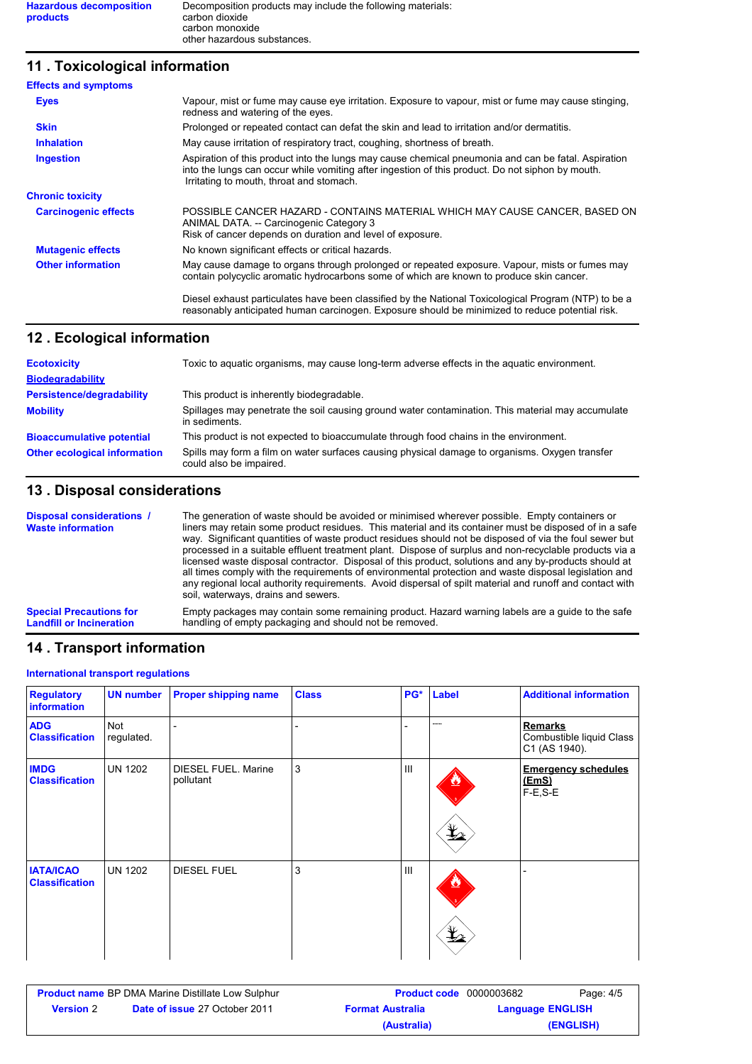# **11 . Toxicological information**

| <b>Effects and symptoms</b> |                                                                                                                                                                                                                                                     |
|-----------------------------|-----------------------------------------------------------------------------------------------------------------------------------------------------------------------------------------------------------------------------------------------------|
| <b>Eyes</b>                 | Vapour, mist or fume may cause eye irritation. Exposure to vapour, mist or fume may cause stinging,<br>redness and watering of the eyes.                                                                                                            |
| <b>Skin</b>                 | Prolonged or repeated contact can defat the skin and lead to irritation and/or dermatitis.                                                                                                                                                          |
| <b>Inhalation</b>           | May cause irritation of respiratory tract, coughing, shortness of breath.                                                                                                                                                                           |
| <b>Ingestion</b>            | Aspiration of this product into the lungs may cause chemical pneumonia and can be fatal. Aspiration<br>into the lungs can occur while vomiting after ingestion of this product. Do not siphon by mouth.<br>Irritating to mouth, throat and stomach. |
| <b>Chronic toxicity</b>     |                                                                                                                                                                                                                                                     |
| <b>Carcinogenic effects</b> | POSSIBLE CANCER HAZARD - CONTAINS MATERIAL WHICH MAY CAUSE CANCER, BASED ON<br>ANIMAL DATA. -- Carcinogenic Category 3<br>Risk of cancer depends on duration and level of exposure.                                                                 |
| <b>Mutagenic effects</b>    | No known significant effects or critical hazards.                                                                                                                                                                                                   |
| <b>Other information</b>    | May cause damage to organs through prolonged or repeated exposure. Vapour, mists or fumes may<br>contain polycyclic aromatic hydrocarbons some of which are known to produce skin cancer.                                                           |
|                             | Diesel exhaust particulates have been classified by the National Toxicological Program (NTP) to be a<br>reasonably anticipated human carcinogen. Exposure should be minimized to reduce potential risk.                                             |

### **Ecological information 12 .**

| <b>Ecotoxicity</b>                  | Toxic to aquatic organisms, may cause long-term adverse effects in the aquatic environment.                               |
|-------------------------------------|---------------------------------------------------------------------------------------------------------------------------|
| <b>Biodegradability</b>             |                                                                                                                           |
| <b>Persistence/degradability</b>    | This product is inherently biodegradable.                                                                                 |
| <b>Mobility</b>                     | Spillages may penetrate the soil causing ground water contamination. This material may accumulate<br>in sediments.        |
| <b>Bioaccumulative potential</b>    | This product is not expected to bioaccumulate through food chains in the environment.                                     |
| <b>Other ecological information</b> | Spills may form a film on water surfaces causing physical damage to organisms. Oxygen transfer<br>could also be impaired. |

## **13 . Disposal considerations**

| Disposal considerations /<br><b>Waste information</b> | The generation of waste should be avoided or minimised wherever possible. Empty containers or<br>liners may retain some product residues. This material and its container must be disposed of in a safe<br>way. Significant quantities of waste product residues should not be disposed of via the foul sewer but<br>processed in a suitable effluent treatment plant. Dispose of surplus and non-recyclable products via a<br>licensed waste disposal contractor. Disposal of this product, solutions and any by-products should at<br>all times comply with the requirements of environmental protection and waste disposal legislation and<br>any regional local authority reguirements. Avoid dispersal of spilt material and runoff and contact with<br>soil, waterways, drains and sewers. |
|-------------------------------------------------------|--------------------------------------------------------------------------------------------------------------------------------------------------------------------------------------------------------------------------------------------------------------------------------------------------------------------------------------------------------------------------------------------------------------------------------------------------------------------------------------------------------------------------------------------------------------------------------------------------------------------------------------------------------------------------------------------------------------------------------------------------------------------------------------------------|
| <b>Special Precautions for</b>                        | Empty packages may contain some remaining product. Hazard warning labels are a guide to the safe                                                                                                                                                                                                                                                                                                                                                                                                                                                                                                                                                                                                                                                                                                 |
| <b>Landfill or Incineration</b>                       | handling of empty packaging and should not be removed.                                                                                                                                                                                                                                                                                                                                                                                                                                                                                                                                                                                                                                                                                                                                           |

# **14 . Transport information**

#### **International transport regulations**

| <b>Regulatory</b><br>information          | <b>UN number</b>  | <b>Proper shipping name</b>      | <b>Class</b> | PG*            | Label         | <b>Additional information</b>                               |
|-------------------------------------------|-------------------|----------------------------------|--------------|----------------|---------------|-------------------------------------------------------------|
| <b>ADG</b><br><b>Classification</b>       | Not<br>regulated. |                                  |              |                | -----         | <b>Remarks</b><br>Combustible liquid Class<br>C1 (AS 1940). |
| <b>IMDG</b><br><b>Classification</b>      | <b>UN 1202</b>    | DIESEL FUEL. Marine<br>pollutant | 3            | III            | $\frac{1}{2}$ | <b>Emergency schedules</b><br><u>(EmS)</u><br>$F-E$ , $S-E$ |
| <b>IATA/ICAO</b><br><b>Classification</b> | <b>UN 1202</b>    | <b>DIESEL FUEL</b>               | 3            | $\mathbf{III}$ | $\frac{1}{2}$ |                                                             |

| <b>Product name</b> BP DMA Marine Distillate Low Sulphur |                                      | <b>Product code</b> 0000003682 |  | Page: 4/5               |
|----------------------------------------------------------|--------------------------------------|--------------------------------|--|-------------------------|
| <b>Version</b> 2                                         | <b>Date of issue 27 October 2011</b> | <b>Format Australia</b>        |  | <b>Language ENGLISH</b> |
|                                                          |                                      | (Australia)                    |  | (ENGLISH)               |